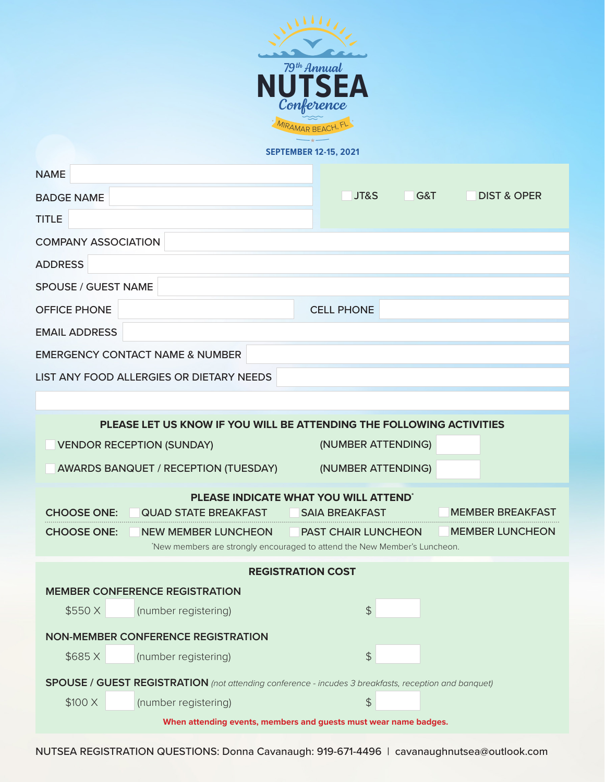

## **SEPTEMBER 12-15, 2021**

| <b>NAME</b>                                                                                          |                                                                                                         |                            |                               |  |
|------------------------------------------------------------------------------------------------------|---------------------------------------------------------------------------------------------------------|----------------------------|-------------------------------|--|
| <b>BADGE NAME</b>                                                                                    |                                                                                                         | JT&S                       | G&T<br><b>DIST &amp; OPER</b> |  |
| <b>TITLE</b>                                                                                         |                                                                                                         |                            |                               |  |
| <b>COMPANY ASSOCIATION</b>                                                                           |                                                                                                         |                            |                               |  |
| <b>ADDRESS</b>                                                                                       |                                                                                                         |                            |                               |  |
| <b>SPOUSE / GUEST NAME</b>                                                                           |                                                                                                         |                            |                               |  |
| <b>OFFICE PHONE</b>                                                                                  |                                                                                                         | <b>CELL PHONE</b>          |                               |  |
| <b>EMAIL ADDRESS</b>                                                                                 |                                                                                                         |                            |                               |  |
| <b>EMERGENCY CONTACT NAME &amp; NUMBER</b>                                                           |                                                                                                         |                            |                               |  |
| LIST ANY FOOD ALLERGIES OR DIETARY NEEDS                                                             |                                                                                                         |                            |                               |  |
|                                                                                                      |                                                                                                         |                            |                               |  |
| PLEASE LET US KNOW IF YOU WILL BE ATTENDING THE FOLLOWING ACTIVITIES                                 |                                                                                                         |                            |                               |  |
| (NUMBER ATTENDING)<br><b>VENDOR RECEPTION (SUNDAY)</b>                                               |                                                                                                         |                            |                               |  |
|                                                                                                      | AWARDS BANQUET / RECEPTION (TUESDAY)                                                                    | (NUMBER ATTENDING)         |                               |  |
| PLEASE INDICATE WHAT YOU WILL ATTEND'                                                                |                                                                                                         |                            |                               |  |
| <b>CHOOSE ONE:</b>                                                                                   | <b>QUAD STATE BREAKFAST</b>                                                                             | <b>SAIA BREAKFAST</b>      | <b>MEMBER BREAKFAST</b>       |  |
| <b>CHOOSE ONE:</b>                                                                                   | <b>NEW MEMBER LUNCHEON</b><br>'New members are strongly encouraged to attend the New Member's Luncheon. | <b>PAST CHAIR LUNCHEON</b> | <b>MEMBER LUNCHEON</b>        |  |
| <b>REGISTRATION COST</b>                                                                             |                                                                                                         |                            |                               |  |
| <b>MEMBER CONFERENCE REGISTRATION</b>                                                                |                                                                                                         |                            |                               |  |
| \$550 X                                                                                              | (number registering)                                                                                    | \$                         |                               |  |
| <b>NON-MEMBER CONFERENCE REGISTRATION</b>                                                            |                                                                                                         |                            |                               |  |
| \$685X                                                                                               | (number registering)                                                                                    | $\frac{1}{2}$              |                               |  |
| SPOUSE / GUEST REGISTRATION (not attending conference - incudes 3 breakfasts, reception and banquet) |                                                                                                         |                            |                               |  |
| \$100 X                                                                                              | (number registering)                                                                                    | $\frac{4}{5}$              |                               |  |
| When attending events, members and guests must wear name badges.                                     |                                                                                                         |                            |                               |  |

NUTSEA REGISTRATION QUESTIONS: Donna Cavanaugh: 919-671-4496 | cavanaughnutsea@outlook.com